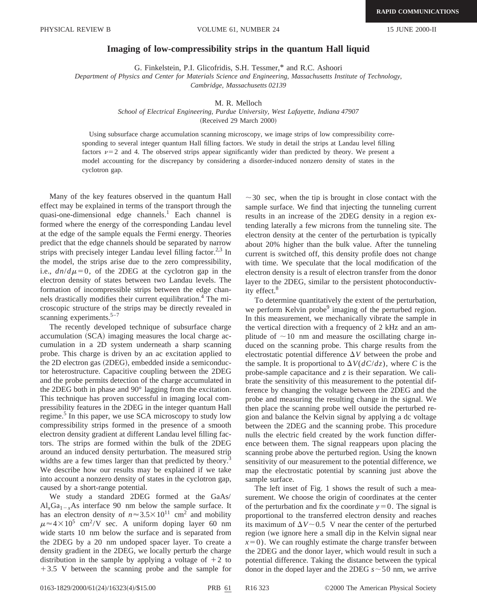## **Imaging of low-compressibility strips in the quantum Hall liquid**

G. Finkelstein, P.I. Glicofridis, S.H. Tessmer,\* and R.C. Ashoori

*Department of Physics and Center for Materials Science and Engineering, Massachusetts Institute of Technology, Cambridge, Massachusetts 02139*

## M. R. Melloch

*School of Electrical Engineering, Purdue University, West Lafayette, Indiana 47907*

(Received 29 March 2000)

Using subsurface charge accumulation scanning microscopy, we image strips of low compressibility corresponding to several integer quantum Hall filling factors. We study in detail the strips at Landau level filling factors  $\nu=2$  and 4. The observed strips appear significantly wider than predicted by theory. We present a model accounting for the discrepancy by considering a disorder-induced nonzero density of states in the cyclotron gap.

Many of the key features observed in the quantum Hall effect may be explained in terms of the transport through the quasi-one-dimensional edge channels.<sup>1</sup> Each channel is formed where the energy of the corresponding Landau level at the edge of the sample equals the Fermi energy. Theories predict that the edge channels should be separated by narrow strips with precisely integer Landau level filling factor. $2,3$  In the model, the strips arise due to the zero compressibility, i.e.,  $dn/d\mu=0$ , of the 2DEG at the cyclotron gap in the electron density of states between two Landau levels. The formation of incompressible strips between the edge channels drastically modifies their current equilibration.<sup>4</sup> The microscopic structure of the strips may be directly revealed in scanning experiments. $5-7$ 

The recently developed technique of subsurface charge accumulation (SCA) imaging measures the local charge accumulation in a 2D system underneath a sharp scanning probe. This charge is driven by an ac excitation applied to the 2D electron gas (2DEG), embedded inside a semiconductor heterostructure. Capacitive coupling between the 2DEG and the probe permits detection of the charge accumulated in the 2DEG both in phase and 90° lagging from the excitation. This technique has proven successful in imaging local compressibility features in the 2DEG in the integer quantum Hall regime.<sup>5</sup> In this paper, we use SCA microscopy to study low compressibility strips formed in the presence of a smooth electron density gradient at different Landau level filling factors. The strips are formed within the bulk of the 2DEG around an induced density perturbation. The measured strip widths are a few times larger than that predicted by theory.<sup>3</sup> We describe how our results may be explained if we take into account a nonzero density of states in the cyclotron gap, caused by a short-range potential.

We study a standard 2DEG formed at the GaAs/  $Al_xGa_{1-x}As$  interface 90 nm below the sample surface. It has an electron density of  $n \approx 3.5 \times 10^{11}$  cm<sup>2</sup> and mobility  $\mu \approx 4 \times 10^5$  cm<sup>2</sup>/V sec. A uniform doping layer 60 nm wide starts 10 nm below the surface and is separated from the 2DEG by a 20 nm undoped spacer layer. To create a density gradient in the 2DEG, we locally perturb the charge distribution in the sample by applying a voltage of  $+2$  to  $+3.5$  V between the scanning probe and the sample for

 $\sim$  30 sec, when the tip is brought in close contact with the sample surface. We find that injecting the tunneling current results in an increase of the 2DEG density in a region extending laterally a few microns from the tunneling site. The electron density at the center of the perturbation is typically about 20% higher than the bulk value. After the tunneling current is switched off, this density profile does not change with time. We speculate that the local modification of the electron density is a result of electron transfer from the donor layer to the 2DEG, similar to the persistent photoconductivity effect.<sup>8</sup>

To determine quantitatively the extent of the perturbation, we perform Kelvin probe<sup>9</sup> imaging of the perturbed region. In this measurement, we mechanically vibrate the sample in the vertical direction with a frequency of 2 kHz and an amplitude of  $\sim$ 10 nm and measure the oscillating charge induced on the scanning probe. This charge results from the electrostatic potential difference  $\Delta V$  between the probe and the sample. It is proportional to  $\Delta V(dC/dz)$ , where *C* is the probe-sample capacitance and  $z$  is their separation. We calibrate the sensitivity of this measurement to the potential difference by changing the voltage between the 2DEG and the probe and measuring the resulting change in the signal. We then place the scanning probe well outside the perturbed region and balance the Kelvin signal by applying a dc voltage between the 2DEG and the scanning probe. This procedure nulls the electric field created by the work function difference between them. The signal reappears upon placing the scanning probe above the perturbed region. Using the known sensitivity of our measurement to the potential difference, we map the electrostatic potential by scanning just above the sample surface.

The left inset of Fig. 1 shows the result of such a measurement. We choose the origin of coordinates at the center of the perturbation and fix the coordinate  $y=0$ . The signal is proportional to the transferred electron density and reaches its maximum of  $\Delta V \sim 0.5$  V near the center of the perturbed region (we ignore here a small dip in the Kelvin signal near  $x=0$ ). We can roughly estimate the charge transfer between the 2DEG and the donor layer, which would result in such a potential difference. Taking the distance between the typical donor in the doped layer and the 2DEG  $s \sim 50$  nm, we arrive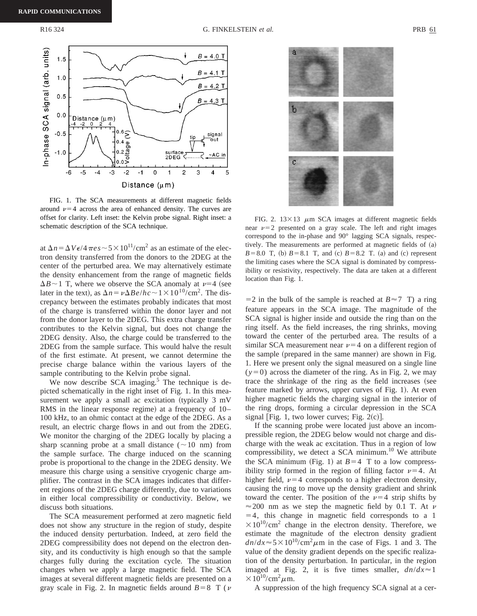

FIG. 1. The SCA measurements at different magnetic fields around  $\nu=4$  across the area of enhanced density. The curves are offset for clarity. Left inset: the Kelvin probe signal. Right inset: a schematic description of the SCA technique.

at  $\Delta n = \Delta V \epsilon / 4 \pi \epsilon s \sim 5 \times 10^{11} / \text{cm}^2$  as an estimate of the electron density transferred from the donors to the 2DEG at the center of the perturbed area. We may alternatively estimate the density enhancement from the range of magnetic fields  $\Delta B \sim 1$  T, where we observe the SCA anomaly at  $\nu=4$  (see later in the text), as  $\Delta n = \nu \Delta B e/hc \sim 1 \times 10^{10}/\text{cm}^2$ . The discrepancy between the estimates probably indicates that most of the charge is transferred within the donor layer and not from the donor layer to the 2DEG. This extra charge transfer contributes to the Kelvin signal, but does not change the 2DEG density. Also, the charge could be transferred to the 2DEG from the sample surface. This would halve the result of the first estimate. At present, we cannot determine the precise charge balance within the various layers of the sample contributing to the Kelvin probe signal.

We now describe SCA imaging. $5$  The technique is depicted schematically in the right inset of Fig. 1. In this measurement we apply a small ac excitation (typically  $3$  mV RMS in the linear response regime) at a frequency of  $10-$ 100 kHz, to an ohmic contact at the edge of the 2DEG. As a result, an electric charge flows in and out from the 2DEG. We monitor the charging of the 2DEG locally by placing a sharp scanning probe at a small distance  $(\sim 10 \text{ nm})$  from the sample surface. The charge induced on the scanning probe is proportional to the change in the 2DEG density. We measure this charge using a sensitive cryogenic charge amplifier. The contrast in the SCA images indicates that different regions of the 2DEG charge differently, due to variations in either local compressibility or conductivity. Below, we discuss both situations.

The SCA measurement performed at zero magnetic field does not show any structure in the region of study, despite the induced density perturbation. Indeed, at zero field the 2DEG compressibility does not depend on the electron density, and its conductivity is high enough so that the sample charges fully during the excitation cycle. The situation changes when we apply a large magnetic field. The SCA images at several different magnetic fields are presented on a gray scale in Fig. 2. In magnetic fields around  $B=8$  T ( $\nu$ )



FIG. 2.  $13 \times 13$   $\mu$ m SCA images at different magnetic fields near  $\nu=2$  presented on a gray scale. The left and right images correspond to the in-phase and 90° lagging SCA signals, respectively. The measurements are performed at magnetic fields of  $(a)$  $B=8.0$  T, (b)  $B=8.1$  T, and (c)  $B=8.2$  T. (a) and (c) represent the limiting cases where the SCA signal is dominated by compressibility or resistivity, respectively. The data are taken at a different location than Fig. 1.

 $=$  2 in the bulk of the sample is reached at *B* $\approx$  7 T) a ring feature appears in the SCA image. The magnitude of the SCA signal is higher inside and outside the ring than on the ring itself. As the field increases, the ring shrinks, moving toward the center of the perturbed area. The results of a similar SCA measurement near  $\nu=4$  on a different region of the sample (prepared in the same manner) are shown in Fig. 1. Here we present only the signal measured on a single line  $(y=0)$  across the diameter of the ring. As in Fig. 2, we may trace the shrinkage of the ring as the field increases (see feature marked by arrows, upper curves of Fig. 1). At even higher magnetic fields the charging signal in the interior of the ring drops, forming a circular depression in the SCA signal [Fig. 1, two lower curves; Fig.  $2(c)$ ].

If the scanning probe were located just above an incompressible region, the 2DEG below would not charge and discharge with the weak ac excitation. Thus in a region of low compressibility, we detect a SCA minimum.<sup>10</sup> We attribute the SCA minimum (Fig. 1) at  $B=4$  T to a low compressibility strip formed in the region of filling factor  $\nu=4$ . At higher field,  $\nu=4$  corresponds to a higher electron density, causing the ring to move up the density gradient and shrink toward the center. The position of the  $\nu=4$  strip shifts by  $\approx$  200 nm as we step the magnetic field by 0.1 T. At v  $=4$ , this change in magnetic field corresponds to a 1  $\times 10^{10}/\text{cm}^2$  change in the electron density. Therefore, we estimate the magnitude of the electron density gradient  $dn/dx \approx 5 \times 10^{10}$ /cm<sup>2</sup> $\mu$ m in the case of Figs. 1 and 3. The value of the density gradient depends on the specific realization of the density perturbation. In particular, in the region imaged at Fig. 2, it is five times smaller,  $dn/dx \approx 1$  $\times 10^{10}$ /cm<sup>2</sup>  $\mu$ m.

A suppression of the high frequency SCA signal at a cer-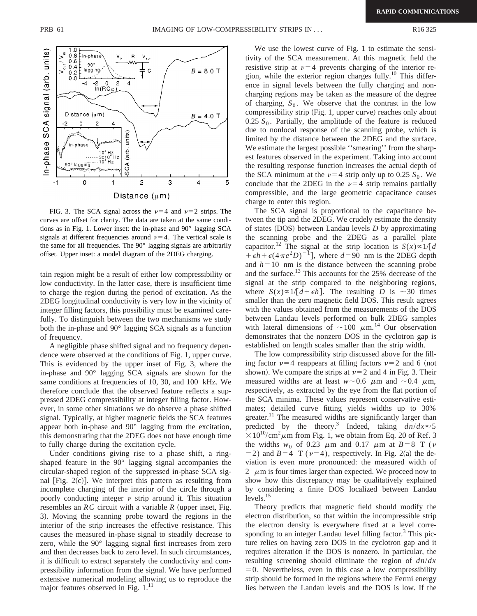

FIG. 3. The SCA signal across the  $\nu=4$  and  $\nu=2$  strips. The curves are offset for clarity. The data are taken at the same conditions as in Fig. 1. Lower inset: the in-phase and 90° lagging SCA signals at different frequencies around  $\nu=4$ . The vertical scale is the same for all frequencies. The 90° lagging signals are arbitrarily offset. Upper inset: a model diagram of the 2DEG charging.

tain region might be a result of either low compressibility or low conductivity. In the latter case, there is insufficient time to charge the region during the period of excitation. As the 2DEG longitudinal conductivity is very low in the vicinity of integer filling factors, this possibility must be examined carefully. To distinguish between the two mechanisms we study both the in-phase and 90° lagging SCA signals as a function of frequency.

A negligible phase shifted signal and no frequency dependence were observed at the conditions of Fig. 1, upper curve. This is evidenced by the upper inset of Fig. 3, where the in-phase and 90° lagging SCA signals are shown for the same conditions at frequencies of 10, 30, and 100 kHz. We therefore conclude that the observed feature reflects a suppressed 2DEG compressibility at integer filling factor. However, in some other situations we do observe a phase shifted signal. Typically, at higher magnetic fields the SCA features appear both in-phase and 90° lagging from the excitation, this demonstrating that the 2DEG does not have enough time to fully charge during the excitation cycle.

Under conditions giving rise to a phase shift, a ringshaped feature in the 90° lagging signal accompanies the circular-shaped region of the suppressed in-phase SCA signal  $[Fig. 2(c)]$ . We interpret this pattern as resulting from incomplete charging of the interior of the circle through a poorly conducting integer  $\nu$  strip around it. This situation resembles an  $RC$  circuit with a variable  $R$  (upper inset, Fig. 3). Moving the scanning probe toward the regions in the interior of the strip increases the effective resistance. This causes the measured in-phase signal to steadily decrease to zero, while the 90° lagging signal first increases from zero and then decreases back to zero level. In such circumstances, it is difficult to extract separately the conductivity and compressibility information from the signal. We have performed extensive numerical modeling allowing us to reproduce the major features observed in Fig.  $1.^{11}$ 

We use the lowest curve of Fig. 1 to estimate the sensitivity of the SCA measurement. At this magnetic field the resistive strip at  $\nu=4$  prevents charging of the interior region, while the exterior region charges fully.<sup>10</sup> This difference in signal levels between the fully charging and noncharging regions may be taken as the measure of the degree of charging,  $S_0$ . We observe that the contrast in the low compressibility strip (Fig. 1, upper curve) reaches only about  $0.25 S<sub>0</sub>$ . Partially, the amplitude of the feature is reduced due to nonlocal response of the scanning probe, which is limited by the distance between the 2DEG and the surface. We estimate the largest possible ''smearing'' from the sharpest features observed in the experiment. Taking into account the resulting response function increases the actual depth of the SCA minimum at the  $\nu=4$  strip only up to 0.25  $S_0$ . We conclude that the 2DEG in the  $\nu=4$  strip remains partially compressible, and the large geometric capacitance causes charge to enter this region.

The SCA signal is proportional to the capacitance between the tip and the 2DEG. We crudely estimate the density of states (DOS) between Landau levels *D* by approximating the scanning probe and the 2DEG as a parallel plate capacitor.<sup>12</sup> The signal at the strip location is  $S(x) \propto 1/[d]$  $+ \epsilon h + \epsilon (4 \pi e^2 D)^{-1}$ , where  $d = 90$  nm is the 2DEG depth and  $h=10$  nm is the distance between the scanning probe and the surface.13 This accounts for the 25% decrease of the signal at the strip compared to the neighboring regions, where  $S(x) \propto 1/[d + \epsilon h]$ . The resulting *D* is ~30 times smaller than the zero magnetic field DOS. This result agrees with the values obtained from the measurements of the DOS between Landau levels performed on bulk 2DEG samples with lateral dimensions of  $\sim 100 \mu \text{m}^{14}$  Our observation demonstrates that the nonzero DOS in the cyclotron gap is established on length scales smaller than the strip width.

The low compressibility strip discussed above for the filling factor  $\nu=4$  reappears at filling factors  $\nu=2$  and 6 (not shown). We compare the strips at  $\nu=2$  and 4 in Fig. 3. Their measured widths are at least  $w \sim 0.6$   $\mu$ m and  $\sim 0.4$   $\mu$ m, respectively, as extracted by the eye from the flat portion of the SCA minima. These values represent conservative estimates; detailed curve fitting yields widths up to 30% greater.<sup>11</sup> The measured widths are significantly larger than predicted by the theory.<sup>3</sup> Indeed, taking  $dn/dx \approx 5$  $\times 10^{10}$ /cm<sup>2</sup> $\mu$ m from Fig. 1, we obtain from Eq. 20 of Ref. 3 the widths  $w_0$  of 0.23  $\mu$ m and 0.17  $\mu$ m at *B*=8 T ( $\nu$  $=$  2) and *B*=4 T ( $\nu$ =4), respectively. In Fig. 2(a) the deviation is even more pronounced: the measured width of 2  $\mu$ m is four times larger than expected. We proceed now to show how this discrepancy may be qualitatively explained by considering a finite DOS localized between Landau  $levels.<sup>15</sup>$ 

Theory predicts that magnetic field should modify the electron distribution, so that within the incompressible strip the electron density is everywhere fixed at a level corresponding to an integer Landau level filling factor.<sup>3</sup> This picture relies on having zero DOS in the cyclotron gap and it requires alteration if the DOS is nonzero. In particular, the resulting screening should eliminate the region of *dn*/*dx*  $=0$ . Nevertheless, even in this case a low compressibility strip should be formed in the regions where the Fermi energy lies between the Landau levels and the DOS is low. If the